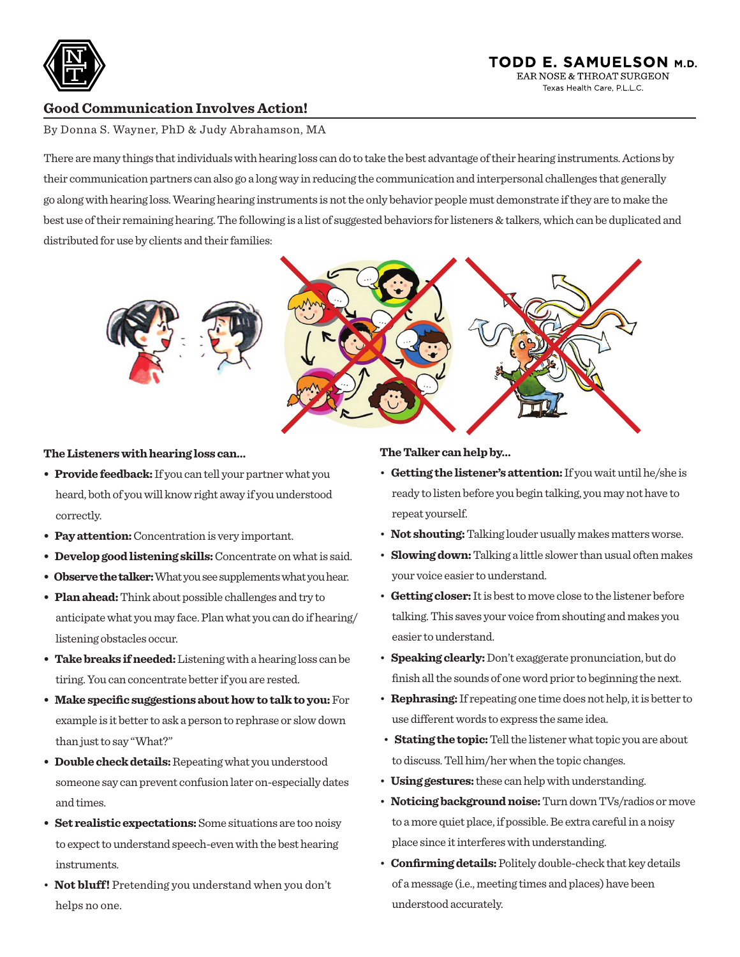

## TODD E. SAMUELSON M.D. EAR NOSE & THROAT SURGEON Texas Health Care PL LC

# **Good Communication Involves Action!**

By Donna S. Wayner, PhD & Judy Abrahamson, MA

There are many things that individuals with hearing loss can do to take the best advantage of their hearing instruments. Actions by their communication partners can also go a long way in reducing the communication and interpersonal challenges that generally go along with hearing loss. Wearing hearing instruments is not the only behavior people must demonstrate if they are to make the best use of their remaining hearing. The following is a list of suggested behaviors for listeners & talkers, which can be duplicated and distributed for use by clients and their families:



#### **The Listeners with hearing loss can…**

- **Provide feedback:** If you can tell your partner what you heard, both of you will know right away if you understood correctly.
- **Pay attention:** Concentration is very important.
- **Develop good listening skills:** Concentrate on what is said.
- **Observe the talker:** What you see supplements what you hear.
- **Plan ahead:** Think about possible challenges and try to anticipate what you may face. Plan what you can do if hearing/ listening obstacles occur.
- **Take breaks if needed:** Listening with a hearing loss can be tiring. You can concentrate better if you are rested.
- **Make specific suggestions about how to talk to you:** For example is it better to ask a person to rephrase or slow down than just to say "What?"
- **Double check details:** Repeating what you understood someone say can prevent confusion later on-especially dates and times.
- **Set realistic expectations:** Some situations are too noisy to expect to understand speech-even with the best hearing instruments.
- **Not bluff!** Pretending you understand when you don't helps no one.

## **The Talker can help by…**

- **Getting the listener's attention:** If you wait until he/she is ready to listen before you begin talking, you may not have to repeat yourself.
- **Not shouting:** Talking louder usually makes matters worse.
- **Slowing down:** Talking a little slower than usual often makes your voice easier to understand.
- **Getting closer:** It is best to move close to the listener before talking. This saves your voice from shouting and makes you easier to understand.
- **Speaking clearly:** Don't exaggerate pronunciation, but do finish all the sounds of one word prior to beginning the next.
- **Rephrasing:** If repeating one time does not help, it is better to use different words to express the same idea.
- **Stating the topic:** Tell the listener what topic you are about to discuss. Tell him/her when the topic changes.
- **Using gestures:** these can help with understanding.
- **Noticing background noise:** Turn down TVs/radios or move to a more quiet place, if possible. Be extra careful in a noisy place since it interferes with understanding.
- **Confirming details:** Politely double-check that key details of a message (i.e., meeting times and places) have been understood accurately.